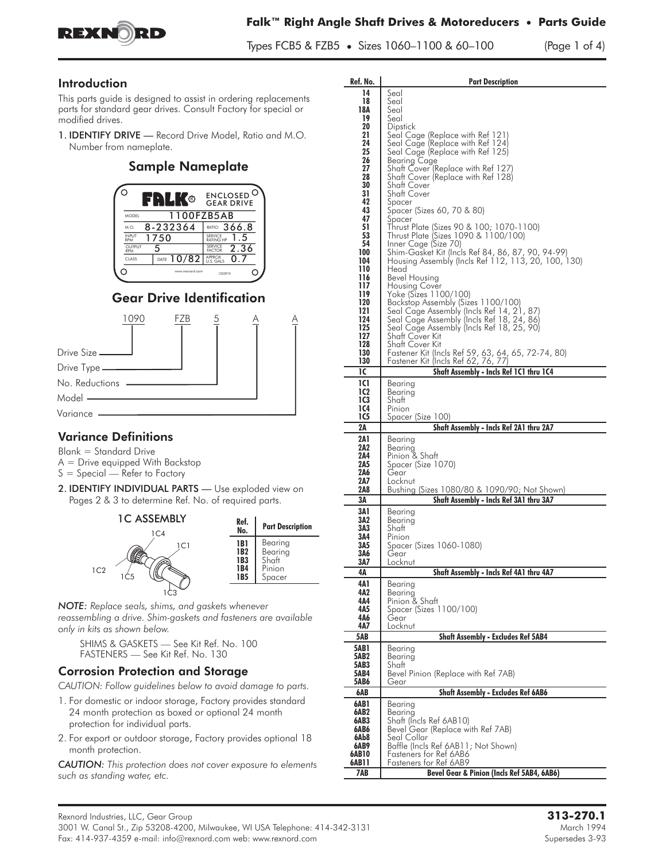

#### Introduction

This parts guide is designed to assist in ordering replacements parts for standard gear drives. Consult Factory for special or modified drives.

1. IDENTIFY DRIVE — Record Drive Model, Ratio and M.O. Number from nameplate.

#### Sample Nameplate



## Gear Drive Identification



### **Variance Definitions**

- Blank = Standard Drive A = Drive equipped With Backstop
- $S = S$ pecial Refer to Factory
- 2. IDENTIFY INDIVIDUAL PARTS Use exploded view on Pages 2 & 3 to determine Ref. No. of required parts.



*NOTE: Replace seals, shims, and gaskets whenever reassembling a drive. Shim-gaskets and fasteners are available only in kits as shown below.*

SHIMS & GASKETS — See Kit Ref. No. 100 FASTENERS — See Kit Ref. No. 130

#### Corrosion Protection and Storage

*CAUTION: Follow guidelines below to avoid damage to parts.*

- 1. For domestic or indoor storage, Factory provides standard 24 month protection as boxed or optional 24 month protection for individual parts.
- 2. For export or outdoor storage, Factory provides optional 18 month protection.

*CAUTION: This protection does not cover exposure to elements such as standing water, etc.*

| Ref. No.     | <b>Part Description</b>                                                                 |  |  |  |  |  |
|--------------|-----------------------------------------------------------------------------------------|--|--|--|--|--|
| 14           | Seal                                                                                    |  |  |  |  |  |
| 18           | Seal                                                                                    |  |  |  |  |  |
| 18A<br>19    | Seal<br>Seal                                                                            |  |  |  |  |  |
| 20           | <b>Dipstick</b>                                                                         |  |  |  |  |  |
| 21           | Seal Cage (Replace with Ref 121)                                                        |  |  |  |  |  |
| 24           | Seal Cage (Replace with Ref 124)                                                        |  |  |  |  |  |
| 25<br>26     | Seal Cage (Replace with Ref 125)<br>Bearing Cage                                        |  |  |  |  |  |
| 27           | Shatt Cover (Replace with Ref 127)                                                      |  |  |  |  |  |
| 28           | Shatt Cover (Replace with Ret 128)                                                      |  |  |  |  |  |
| 30           | Shatt Cover                                                                             |  |  |  |  |  |
| 31<br>42     | Shatt Cover<br>Spacer                                                                   |  |  |  |  |  |
| 43           | Spacer (Sizes 60, 70 & 80)                                                              |  |  |  |  |  |
| 47           | Spacer                                                                                  |  |  |  |  |  |
| 51           | Thrust Plate (Sizes 90 & 100; 1070-1100)                                                |  |  |  |  |  |
| 53<br>54     | Thrust Plate (Sizes 1090 & 1100/100)<br>Inner Cage (Size 70)                            |  |  |  |  |  |
| 100          | Shim-Gasket Kit (Incls Ref 84, 86, 87, 90, 94-99)                                       |  |  |  |  |  |
| 104          | Housing Assembly (Incls Ref 112, 113, 20, 100, 130)                                     |  |  |  |  |  |
| 110<br>116   | Head                                                                                    |  |  |  |  |  |
| 117          | Bevel Housing<br>Housing Cover                                                          |  |  |  |  |  |
| 119          | Yoke (Sizes 1100/100)                                                                   |  |  |  |  |  |
| 120          | Backstop Assembly (Sizes 1100/100)<br>Seal Cage Assembly (Incls Ref 14, 21, 87)         |  |  |  |  |  |
| 121<br>124   |                                                                                         |  |  |  |  |  |
| 125          | Seal Cage Assembly (Incls Ref 18, 24, 86)<br>Seal Cage Assembly (Incls Ref 18, 25, 90)  |  |  |  |  |  |
| 127          | Shatt Cover Kit                                                                         |  |  |  |  |  |
| 128          | Shaft Cover Kit                                                                         |  |  |  |  |  |
| 130          | Fastener Kit (Incls Ref 59, 63, 64, 65, 72-74, 80)                                      |  |  |  |  |  |
| 130<br>ıc    | Fastener Kit (Incls Ref 62, 76, 77)<br>Shaft Assembly - Incls Ref 1C1 thru 1C4          |  |  |  |  |  |
| <b>1C1</b>   |                                                                                         |  |  |  |  |  |
| 1C2          | Bearing<br>Bearing                                                                      |  |  |  |  |  |
| 1C3          | Shaft                                                                                   |  |  |  |  |  |
| 1C4          | Pinion                                                                                  |  |  |  |  |  |
| <b>1C5</b>   | Spacer (S <u>ize 100</u> )                                                              |  |  |  |  |  |
| 2Α           | Shaft Assembly - Incls Ref 2A1 thru 2A7                                                 |  |  |  |  |  |
| 2A 1         | Bearing                                                                                 |  |  |  |  |  |
| 2A2<br>2A4   | Bearing<br>Pinion & Shatt                                                               |  |  |  |  |  |
| 2A5          | Spacer (Size 1070)                                                                      |  |  |  |  |  |
| 2A6          | Gear                                                                                    |  |  |  |  |  |
| 2A7<br>2A8   | Locknut                                                                                 |  |  |  |  |  |
| ЗΑ           | Bushing (Sizes 1080/80 & 1090/90; Not Shown)<br>Shaft Assembly - Incls Ref 3A1 thru 3A7 |  |  |  |  |  |
| 3A 1         |                                                                                         |  |  |  |  |  |
| 3A2          | Bearing<br>Bearing                                                                      |  |  |  |  |  |
| 3A3          | Shatt                                                                                   |  |  |  |  |  |
| 3A4          | Pinion                                                                                  |  |  |  |  |  |
| 3A5<br>3A6   | Spacer (Sizes 1060-1080)<br>Gear                                                        |  |  |  |  |  |
| 3A7          | Locknut                                                                                 |  |  |  |  |  |
| 4Α           | Shaft Assembly - Incls Ref 4A1 thru 4A7                                                 |  |  |  |  |  |
| 4A 1         | Bearing                                                                                 |  |  |  |  |  |
| 4A2          | Bearing                                                                                 |  |  |  |  |  |
| 4A4          | Pinion & Shaft                                                                          |  |  |  |  |  |
| 4A5<br>4A6   | Spacer (Sizes 1100/100)<br>Gear                                                         |  |  |  |  |  |
| 4A7          | Locknut                                                                                 |  |  |  |  |  |
| 5AB          | <b>Shaft Assembly - Excludes Ref 5AB4</b>                                               |  |  |  |  |  |
| <b>5AB1</b>  | Bearina                                                                                 |  |  |  |  |  |
| 5AB2         | Bearing                                                                                 |  |  |  |  |  |
| 5AB3         | Shatt                                                                                   |  |  |  |  |  |
| 5AB4<br>5AB6 | Bevel Pinion (Replace with Ref 7AB)<br>Gear                                             |  |  |  |  |  |
| 6AB          | <b>Shaft Assembly - Excludes Ref 6AB6</b>                                               |  |  |  |  |  |
| 6AB1         | Bearina                                                                                 |  |  |  |  |  |
| 6AB2         | Bearing                                                                                 |  |  |  |  |  |
| 6AB3         | Shaft (Incls Ref 6AB10)                                                                 |  |  |  |  |  |
| 6AB6         | Bevel Gear (Replace with Ref 7AB)                                                       |  |  |  |  |  |
| 6Ab8<br>6AB9 | Seal Collar<br>Baffle (Incls Ref 6AB11; Not Shown)                                      |  |  |  |  |  |
| 6AB10        | Fasteners for Ref 6AB6                                                                  |  |  |  |  |  |
| 6AB11        | Fasteners for Ref 6AB9                                                                  |  |  |  |  |  |
| 7AB          | Bevel Gear & Pinion (Incls Ref 5AB4, 6AB6)                                              |  |  |  |  |  |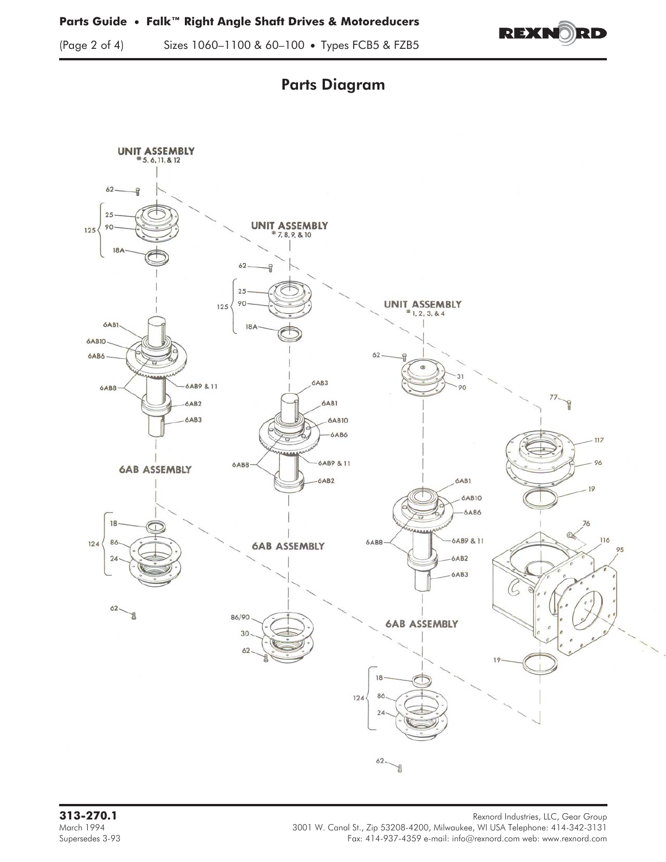







Rexnord Industries, LLC, Gear Group<br>March 1994 March 1994 Rexnord Industries, LLC, Gear Group<br>March 1994 March 1994 March 1994 3001 W. Canal St., Zip 53208-4200, Milwaukee, WI USA Telephone: 414-342-3131<br>Fax: 414-937-4359 e-mail: info@rexnord.com web: www.rexnord.com Fax: 414-937-4359 e-mail: info@rexnord.com web: www.rexnord.com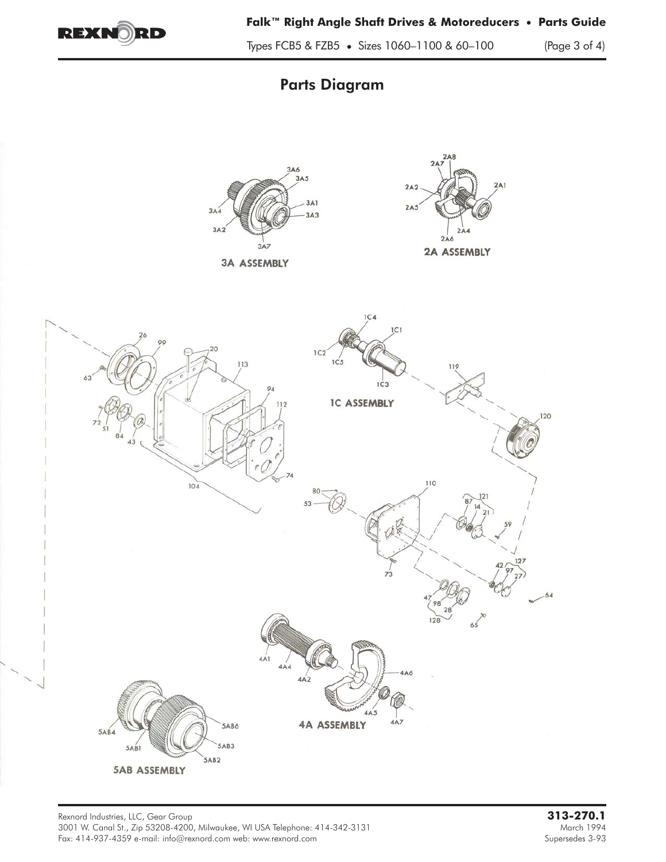

Types FCB5 & FZB5 • Sizes 1060–1100 & 60–100 (Page 3 of 4)

# Parts Diagram